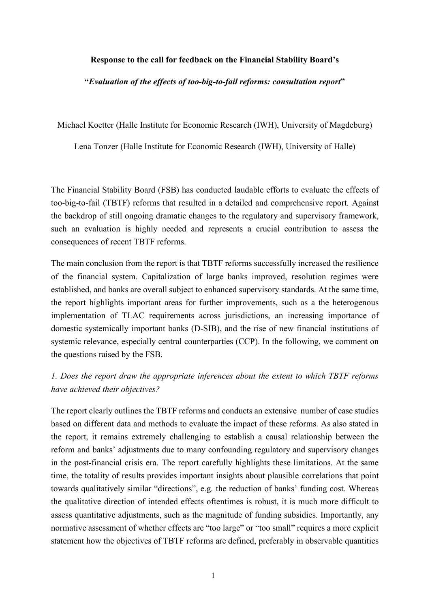#### **Response to the call for feedback on the Financial Stability Board's**

**"***Evaluation of the effects of too-big-to-fail reforms: consultation report***"**

Michael Koetter (Halle Institute for Economic Research (IWH), University of Magdeburg)

Lena Tonzer (Halle Institute for Economic Research (IWH), University of Halle)

The Financial Stability Board (FSB) has conducted laudable efforts to evaluate the effects of too-big-to-fail (TBTF) reforms that resulted in a detailed and comprehensive report. Against the backdrop of still ongoing dramatic changes to the regulatory and supervisory framework, such an evaluation is highly needed and represents a crucial contribution to assess the consequences of recent TBTF reforms.

The main conclusion from the report is that TBTF reforms successfully increased the resilience of the financial system. Capitalization of large banks improved, resolution regimes were established, and banks are overall subject to enhanced supervisory standards. At the same time, the report highlights important areas for further improvements, such as a the heterogenous implementation of TLAC requirements across jurisdictions, an increasing importance of domestic systemically important banks (D-SIB), and the rise of new financial institutions of systemic relevance, especially central counterparties (CCP). In the following, we comment on the questions raised by the FSB.

## *1. Does the report draw the appropriate inferences about the extent to which TBTF reforms have achieved their objectives?*

The report clearly outlines the TBTF reforms and conducts an extensive number of case studies based on different data and methods to evaluate the impact of these reforms. As also stated in the report, it remains extremely challenging to establish a causal relationship between the reform and banks' adjustments due to many confounding regulatory and supervisory changes in the post-financial crisis era. The report carefully highlights these limitations. At the same time, the totality of results provides important insights about plausible correlations that point towards qualitatively similar "directions", e.g. the reduction of banks' funding cost. Whereas the qualitative direction of intended effects oftentimes is robust, it is much more difficult to assess quantitative adjustments, such as the magnitude of funding subsidies. Importantly, any normative assessment of whether effects are "too large" or "too small" requires a more explicit statement how the objectives of TBTF reforms are defined, preferably in observable quantities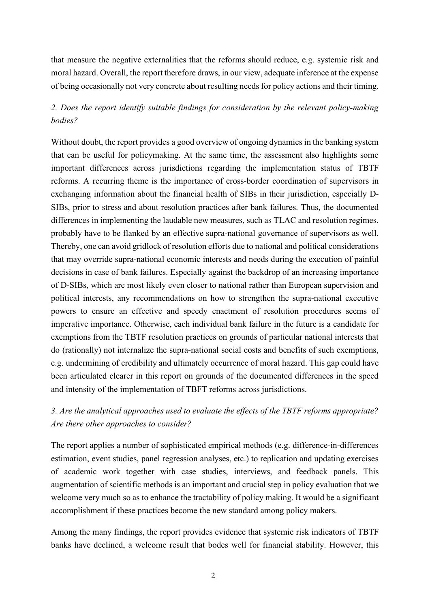that measure the negative externalities that the reforms should reduce, e.g. systemic risk and moral hazard. Overall, the report therefore draws, in our view, adequate inference at the expense of being occasionally not very concrete about resulting needs for policy actions and their timing.

## *2. Does the report identify suitable findings for consideration by the relevant policy-making bodies?*

Without doubt, the report provides a good overview of ongoing dynamics in the banking system that can be useful for policymaking. At the same time, the assessment also highlights some important differences across jurisdictions regarding the implementation status of TBTF reforms. A recurring theme is the importance of cross-border coordination of supervisors in exchanging information about the financial health of SIBs in their jurisdiction, especially D-SIBs, prior to stress and about resolution practices after bank failures. Thus, the documented differences in implementing the laudable new measures, such as TLAC and resolution regimes, probably have to be flanked by an effective supra-national governance of supervisors as well. Thereby, one can avoid gridlock of resolution efforts due to national and political considerations that may override supra-national economic interests and needs during the execution of painful decisions in case of bank failures. Especially against the backdrop of an increasing importance of D-SIBs, which are most likely even closer to national rather than European supervision and political interests, any recommendations on how to strengthen the supra-national executive powers to ensure an effective and speedy enactment of resolution procedures seems of imperative importance. Otherwise, each individual bank failure in the future is a candidate for exemptions from the TBTF resolution practices on grounds of particular national interests that do (rationally) not internalize the supra-national social costs and benefits of such exemptions, e.g. undermining of credibility and ultimately occurrence of moral hazard. This gap could have been articulated clearer in this report on grounds of the documented differences in the speed and intensity of the implementation of TBFT reforms across jurisdictions.

# *3. Are the analytical approaches used to evaluate the effects of the TBTF reforms appropriate? Are there other approaches to consider?*

The report applies a number of sophisticated empirical methods (e.g. difference-in-differences estimation, event studies, panel regression analyses, etc.) to replication and updating exercises of academic work together with case studies, interviews, and feedback panels. This augmentation of scientific methods is an important and crucial step in policy evaluation that we welcome very much so as to enhance the tractability of policy making. It would be a significant accomplishment if these practices become the new standard among policy makers.

Among the many findings, the report provides evidence that systemic risk indicators of TBTF banks have declined, a welcome result that bodes well for financial stability. However, this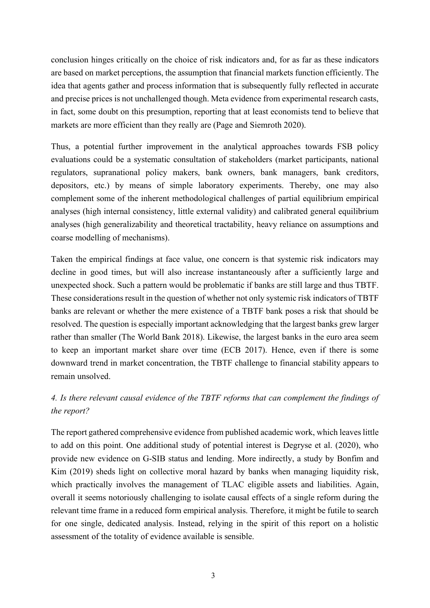conclusion hinges critically on the choice of risk indicators and, for as far as these indicators are based on market perceptions, the assumption that financial markets function efficiently. The idea that agents gather and process information that is subsequently fully reflected in accurate and precise prices is not unchallenged though. Meta evidence from experimental research casts, in fact, some doubt on this presumption, reporting that at least economists tend to believe that markets are more efficient than they really are (Page and Siemroth 2020).

Thus, a potential further improvement in the analytical approaches towards FSB policy evaluations could be a systematic consultation of stakeholders (market participants, national regulators, supranational policy makers, bank owners, bank managers, bank creditors, depositors, etc.) by means of simple laboratory experiments. Thereby, one may also complement some of the inherent methodological challenges of partial equilibrium empirical analyses (high internal consistency, little external validity) and calibrated general equilibrium analyses (high generalizability and theoretical tractability, heavy reliance on assumptions and coarse modelling of mechanisms).

Taken the empirical findings at face value, one concern is that systemic risk indicators may decline in good times, but will also increase instantaneously after a sufficiently large and unexpected shock. Such a pattern would be problematic if banks are still large and thus TBTF. These considerations result in the question of whether not only systemic risk indicators of TBTF banks are relevant or whether the mere existence of a TBTF bank poses a risk that should be resolved. The question is especially important acknowledging that the largest banks grew larger rather than smaller (The World Bank 2018). Likewise, the largest banks in the euro area seem to keep an important market share over time (ECB 2017). Hence, even if there is some downward trend in market concentration, the TBTF challenge to financial stability appears to remain unsolved.

# *4. Is there relevant causal evidence of the TBTF reforms that can complement the findings of the report?*

The report gathered comprehensive evidence from published academic work, which leaves little to add on this point. One additional study of potential interest is Degryse et al. (2020), who provide new evidence on G-SIB status and lending. More indirectly, a study by Bonfim and Kim (2019) sheds light on collective moral hazard by banks when managing liquidity risk, which practically involves the management of TLAC eligible assets and liabilities. Again, overall it seems notoriously challenging to isolate causal effects of a single reform during the relevant time frame in a reduced form empirical analysis. Therefore, it might be futile to search for one single, dedicated analysis. Instead, relying in the spirit of this report on a holistic assessment of the totality of evidence available is sensible.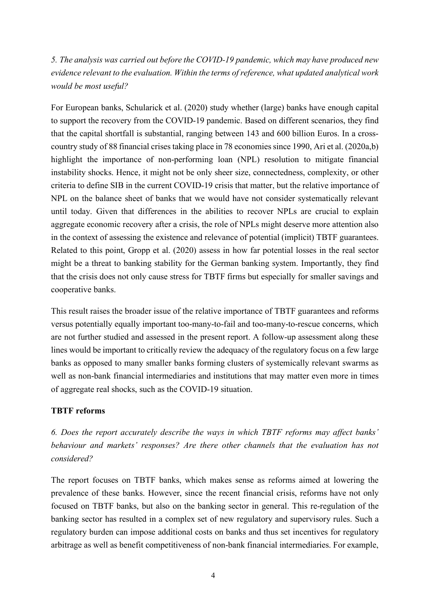*5. The analysis was carried out before the COVID-19 pandemic, which may have produced new evidence relevant to the evaluation. Within the terms of reference, what updated analytical work would be most useful?*

For European banks, Schularick et al. (2020) study whether (large) banks have enough capital to support the recovery from the COVID-19 pandemic. Based on different scenarios, they find that the capital shortfall is substantial, ranging between 143 and 600 billion Euros. In a crosscountry study of 88 financial crises taking place in 78 economies since 1990, Ari et al. (2020a,b) highlight the importance of non-performing loan (NPL) resolution to mitigate financial instability shocks. Hence, it might not be only sheer size, connectedness, complexity, or other criteria to define SIB in the current COVID-19 crisis that matter, but the relative importance of NPL on the balance sheet of banks that we would have not consider systematically relevant until today. Given that differences in the abilities to recover NPLs are crucial to explain aggregate economic recovery after a crisis, the role of NPLs might deserve more attention also in the context of assessing the existence and relevance of potential (implicit) TBTF guarantees. Related to this point, Gropp et al. (2020) assess in how far potential losses in the real sector might be a threat to banking stability for the German banking system. Importantly, they find that the crisis does not only cause stress for TBTF firms but especially for smaller savings and cooperative banks.

This result raises the broader issue of the relative importance of TBTF guarantees and reforms versus potentially equally important too-many-to-fail and too-many-to-rescue concerns, which are not further studied and assessed in the present report. A follow-up assessment along these lines would be important to critically review the adequacy of the regulatory focus on a few large banks as opposed to many smaller banks forming clusters of systemically relevant swarms as well as non-bank financial intermediaries and institutions that may matter even more in times of aggregate real shocks, such as the COVID-19 situation.

## **TBTF reforms**

*6. Does the report accurately describe the ways in which TBTF reforms may affect banks' behaviour and markets' responses? Are there other channels that the evaluation has not considered?*

The report focuses on TBTF banks, which makes sense as reforms aimed at lowering the prevalence of these banks. However, since the recent financial crisis, reforms have not only focused on TBTF banks, but also on the banking sector in general. This re-regulation of the banking sector has resulted in a complex set of new regulatory and supervisory rules. Such a regulatory burden can impose additional costs on banks and thus set incentives for regulatory arbitrage as well as benefit competitiveness of non-bank financial intermediaries. For example,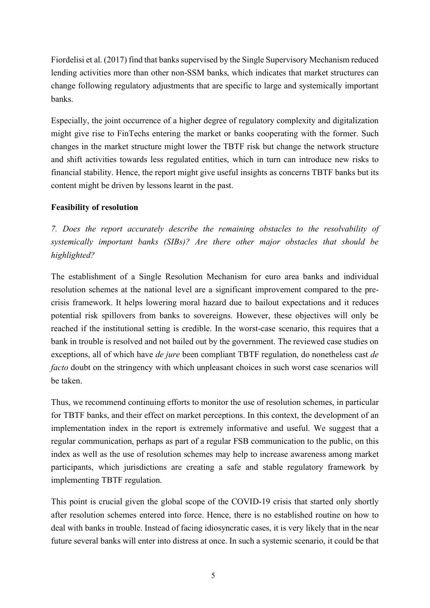Fiordelisi et al. (2017) find that banks supervised by the Single Supervisory Mechanism reduced lending activities more than other non-SSM banks, which indicates that market structures can change following regulatory adjustments that are specific to large and systemically important banks.

Especially, the joint occurrence of a higher degree of regulatory complexity and digitalization might give rise to FinTechs entering the market or banks cooperating with the former. Such changes in the market structure might lower the TBTF risk but change the network structure and shift activities towards less regulated entities, which in turn can introduce new risks to financial stability. Hence, the report might give useful insights as concerns TBTF banks but its content might be driven by lessons learnt in the past.

## **Feasibility of resolution**

*7. Does the report accurately describe the remaining obstacles to the resolvability of systemically important banks (SIBs)? Are there other major obstacles that should be highlighted?*

The establishment of a Single Resolution Mechanism for euro area banks and individual resolution schemes at the national level are a significant improvement compared to the precrisis framework. It helps lowering moral hazard due to bailout expectations and it reduces potential risk spillovers from banks to sovereigns. However, these objectives will only be reached if the institutional setting is credible. In the worst-case scenario, this requires that a bank in trouble is resolved and not bailed out by the government. The reviewed case studies on exceptions, all of which have *de jure* been compliant TBTF regulation, do nonetheless cast *de facto* doubt on the stringency with which unpleasant choices in such worst case scenarios will be taken.

Thus, we recommend continuing efforts to monitor the use of resolution schemes, in particular for TBTF banks, and their effect on market perceptions. In this context, the development of an implementation index in the report is extremely informative and useful. We suggest that a regular communication, perhaps as part of a regular FSB communication to the public, on this index as well as the use of resolution schemes may help to increase awareness among market participants, which jurisdictions are creating a safe and stable regulatory framework by implementing TBTF regulation.

This point is crucial given the global scope of the COVID-19 crisis that started only shortly after resolution schemes entered into force. Hence, there is no established routine on how to deal with banks in trouble. Instead of facing idiosyncratic cases, it is very likely that in the near future several banks will enter into distress at once. In such a systemic scenario, it could be that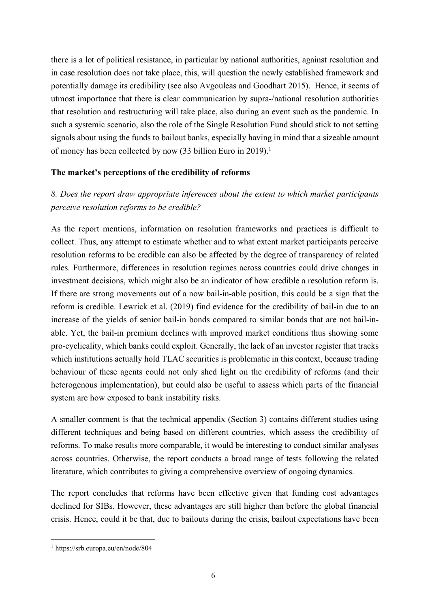there is a lot of political resistance, in particular by national authorities, against resolution and in case resolution does not take place, this, will question the newly established framework and potentially damage its credibility (see also Avgouleas and Goodhart 2015). Hence, it seems of utmost importance that there is clear communication by supra-/national resolution authorities that resolution and restructuring will take place, also during an event such as the pandemic. In such a systemic scenario, also the role of the Single Resolution Fund should stick to not setting signals about using the funds to bailout banks, especially having in mind that a sizeable amount of money has been collected by now (33 billion Euro in 2019).<sup>1</sup>

### **The market's perceptions of the credibility of reforms**

# *8. Does the report draw appropriate inferences about the extent to which market participants perceive resolution reforms to be credible?*

As the report mentions, information on resolution frameworks and practices is difficult to collect. Thus, any attempt to estimate whether and to what extent market participants perceive resolution reforms to be credible can also be affected by the degree of transparency of related rules. Furthermore, differences in resolution regimes across countries could drive changes in investment decisions, which might also be an indicator of how credible a resolution reform is. If there are strong movements out of a now bail-in-able position, this could be a sign that the reform is credible. Lewrick et al. (2019) find evidence for the credibility of bail-in due to an increase of the yields of senior bail-in bonds compared to similar bonds that are not bail-inable. Yet, the bail-in premium declines with improved market conditions thus showing some pro-cyclicality, which banks could exploit. Generally, the lack of an investor register that tracks which institutions actually hold TLAC securities is problematic in this context, because trading behaviour of these agents could not only shed light on the credibility of reforms (and their heterogenous implementation), but could also be useful to assess which parts of the financial system are how exposed to bank instability risks.

A smaller comment is that the technical appendix (Section 3) contains different studies using different techniques and being based on different countries, which assess the credibility of reforms. To make results more comparable, it would be interesting to conduct similar analyses across countries. Otherwise, the report conducts a broad range of tests following the related literature, which contributes to giving a comprehensive overview of ongoing dynamics.

The report concludes that reforms have been effective given that funding cost advantages declined for SIBs. However, these advantages are still higher than before the global financial crisis. Hence, could it be that, due to bailouts during the crisis, bailout expectations have been

 <sup>1</sup> https://srb.europa.eu/en/node/804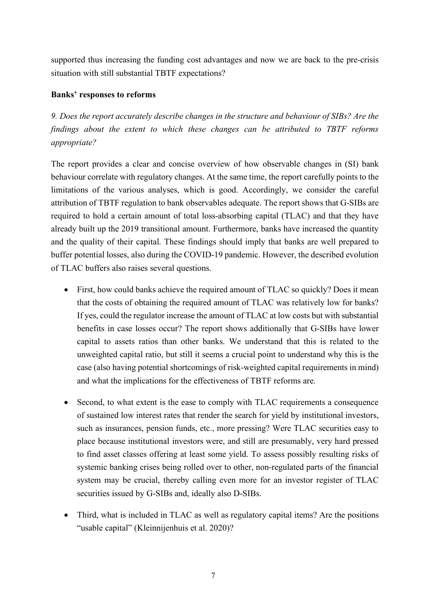supported thus increasing the funding cost advantages and now we are back to the pre-crisis situation with still substantial TBTF expectations?

## **Banks' responses to reforms**

*9. Does the report accurately describe changes in the structure and behaviour of SIBs? Are the findings about the extent to which these changes can be attributed to TBTF reforms appropriate?*

The report provides a clear and concise overview of how observable changes in (SI) bank behaviour correlate with regulatory changes. At the same time, the report carefully points to the limitations of the various analyses, which is good. Accordingly, we consider the careful attribution of TBTF regulation to bank observables adequate. The report shows that G-SIBs are required to hold a certain amount of total loss-absorbing capital (TLAC) and that they have already built up the 2019 transitional amount. Furthermore, banks have increased the quantity and the quality of their capital. These findings should imply that banks are well prepared to buffer potential losses, also during the COVID-19 pandemic. However, the described evolution of TLAC buffers also raises several questions.

- First, how could banks achieve the required amount of TLAC so quickly? Does it mean that the costs of obtaining the required amount of TLAC was relatively low for banks? If yes, could the regulator increase the amount of TLAC at low costs but with substantial benefits in case losses occur? The report shows additionally that G-SIBs have lower capital to assets ratios than other banks. We understand that this is related to the unweighted capital ratio, but still it seems a crucial point to understand why this is the case (also having potential shortcomings of risk-weighted capital requirements in mind) and what the implications for the effectiveness of TBTF reforms are.
- Second, to what extent is the ease to comply with TLAC requirements a consequence of sustained low interest rates that render the search for yield by institutional investors, such as insurances, pension funds, etc., more pressing? Were TLAC securities easy to place because institutional investors were, and still are presumably, very hard pressed to find asset classes offering at least some yield. To assess possibly resulting risks of systemic banking crises being rolled over to other, non-regulated parts of the financial system may be crucial, thereby calling even more for an investor register of TLAC securities issued by G-SIBs and, ideally also D-SIBs.
- Third, what is included in TLAC as well as regulatory capital items? Are the positions "usable capital" (Kleinnijenhuis et al. 2020)?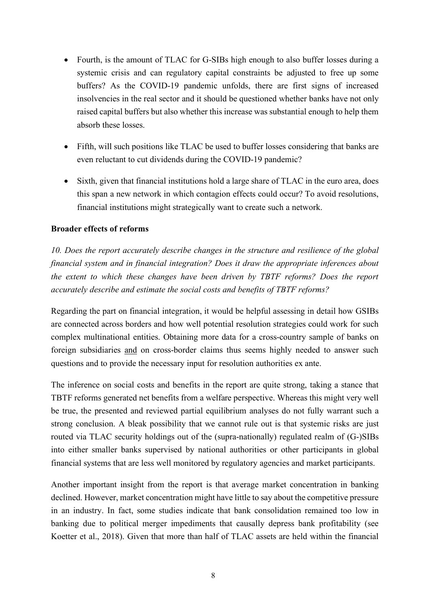- Fourth, is the amount of TLAC for G-SIBs high enough to also buffer losses during a systemic crisis and can regulatory capital constraints be adjusted to free up some buffers? As the COVID-19 pandemic unfolds, there are first signs of increased insolvencies in the real sector and it should be questioned whether banks have not only raised capital buffers but also whether this increase was substantial enough to help them absorb these losses.
- Fifth, will such positions like TLAC be used to buffer losses considering that banks are even reluctant to cut dividends during the COVID-19 pandemic?
- Sixth, given that financial institutions hold a large share of TLAC in the euro area, does this span a new network in which contagion effects could occur? To avoid resolutions, financial institutions might strategically want to create such a network.

### **Broader effects of reforms**

*10. Does the report accurately describe changes in the structure and resilience of the global financial system and in financial integration? Does it draw the appropriate inferences about the extent to which these changes have been driven by TBTF reforms? Does the report accurately describe and estimate the social costs and benefits of TBTF reforms?*

Regarding the part on financial integration, it would be helpful assessing in detail how GSIBs are connected across borders and how well potential resolution strategies could work for such complex multinational entities. Obtaining more data for a cross-country sample of banks on foreign subsidiaries and on cross-border claims thus seems highly needed to answer such questions and to provide the necessary input for resolution authorities ex ante.

The inference on social costs and benefits in the report are quite strong, taking a stance that TBTF reforms generated net benefits from a welfare perspective. Whereas this might very well be true, the presented and reviewed partial equilibrium analyses do not fully warrant such a strong conclusion. A bleak possibility that we cannot rule out is that systemic risks are just routed via TLAC security holdings out of the (supra-nationally) regulated realm of (G-)SIBs into either smaller banks supervised by national authorities or other participants in global financial systems that are less well monitored by regulatory agencies and market participants.

Another important insight from the report is that average market concentration in banking declined. However, market concentration might have little to say about the competitive pressure in an industry. In fact, some studies indicate that bank consolidation remained too low in banking due to political merger impediments that causally depress bank profitability (see Koetter et al., 2018). Given that more than half of TLAC assets are held within the financial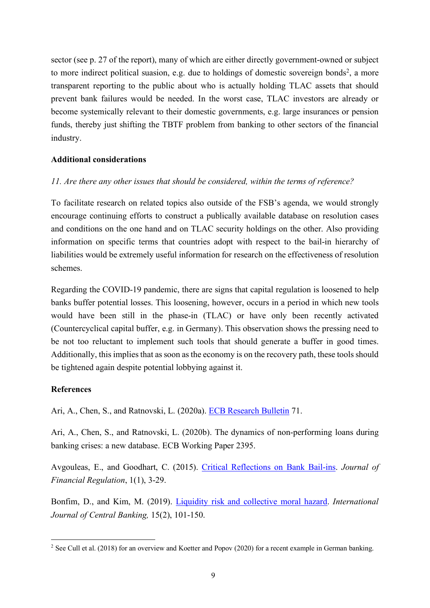sector (see p. 27 of the report), many of which are either directly government-owned or subject to more indirect political suasion, e.g. due to holdings of domestic sovereign bonds<sup>2</sup>, a more transparent reporting to the public about who is actually holding TLAC assets that should prevent bank failures would be needed. In the worst case, TLAC investors are already or become systemically relevant to their domestic governments, e.g. large insurances or pension funds, thereby just shifting the TBTF problem from banking to other sectors of the financial industry.

### **Additional considerations**

### *11. Are there any other issues that should be considered, within the terms of reference?*

To facilitate research on related topics also outside of the FSB's agenda, we would strongly encourage continuing efforts to construct a publically available database on resolution cases and conditions on the one hand and on TLAC security holdings on the other. Also providing information on specific terms that countries adopt with respect to the bail-in hierarchy of liabilities would be extremely useful information for research on the effectiveness of resolution schemes.

Regarding the COVID-19 pandemic, there are signs that capital regulation is loosened to help banks buffer potential losses. This loosening, however, occurs in a period in which new tools would have been still in the phase-in (TLAC) or have only been recently activated (Countercyclical capital buffer, e.g. in Germany). This observation shows the pressing need to be not too reluctant to implement such tools that should generate a buffer in good times. Additionally, this implies that as soon as the economy is on the recovery path, these tools should be tightened again despite potential lobbying against it.

#### **References**

Ari, A., Chen, S., and Ratnovski, L. (2020a). ECB Research Bulletin 71.

Ari, A., Chen, S., and Ratnovski, L. (2020b). The dynamics of non-performing loans during banking crises: a new database. ECB Working Paper 2395.

Avgouleas, E., and Goodhart, C. (2015). Critical Reflections on Bank Bail-ins. *Journal of Financial Regulation*, 1(1), 3-29.

Bonfim, D., and Kim, M. (2019). Liquidity risk and collective moral hazard. *International Journal of Central Banking,* 15(2), 101-150.

<sup>&</sup>lt;sup>2</sup> See Cull et al. (2018) for an overview and Koetter and Popov (2020) for a recent example in German banking.